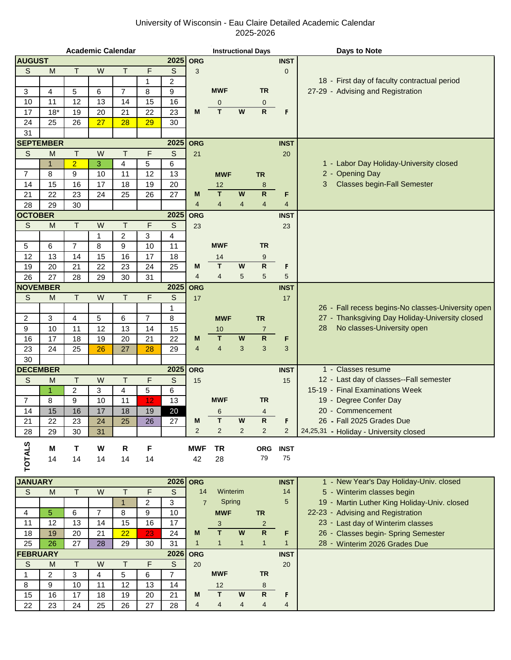## University of Wisconsin - Eau Claire Detailed Academic Calendar 2025-2026

|                      |              |                | <b>Academic Calendar</b> |                |                |                     |                  | <b>Instructional Days</b> |                                           |                                |                   | Days to Note                                       |
|----------------------|--------------|----------------|--------------------------|----------------|----------------|---------------------|------------------|---------------------------|-------------------------------------------|--------------------------------|-------------------|----------------------------------------------------|
| <b>AUGUST</b>        |              |                |                          |                |                | 2025                | <b>ORG</b>       |                           |                                           |                                | <b>INST</b>       |                                                    |
| S                    | M            | $\mathsf{T}$   | W                        | T              | F              | $\mathbb S$         | 3                |                           |                                           |                                | $\mathbf 0$       |                                                    |
|                      |              |                |                          |                | $\mathbf{1}$   | $\overline{c}$      |                  |                           |                                           |                                |                   | 18 - First day of faculty contractual period       |
| 3                    | 4            | 5              | 6                        | $\overline{7}$ | 8              | 9                   |                  | <b>MWF</b>                |                                           | <b>TR</b>                      |                   | 27-29 - Advising and Registration                  |
| 10                   | 11           | 12             | 13                       | 14             | 15             | 16                  |                  | 0                         |                                           | $\mathbf 0$                    |                   |                                                    |
| 17                   | $18*$        | 19             | 20                       | 21             | 22             | 23                  | M                | T                         | W                                         | $\mathsf{R}$                   | F                 |                                                    |
| 24                   | 25           | 26             | 27                       | 28             | 29             | 30                  |                  |                           |                                           |                                |                   |                                                    |
| 31                   |              |                |                          |                |                |                     |                  |                           |                                           |                                |                   |                                                    |
| <b>SEPTEMBER</b>     |              |                |                          |                |                | 2025                | <b>ORG</b>       |                           |                                           |                                | <b>INST</b>       |                                                    |
| S                    | M            | $\top$         | W                        | $\mathsf T$    | F              | $\mathsf S$         | 21               |                           |                                           |                                | 20                |                                                    |
|                      | $\mathbf{1}$ | $\overline{2}$ | 3                        | 4              | 5              | 6                   |                  |                           |                                           |                                |                   | 1 - Labor Day Holiday-University closed            |
| $\overline{7}$       | 8            | 9              | 10                       | 11             | 12             | 13                  |                  | <b>MWF</b>                |                                           | <b>TR</b>                      |                   | 2 - Opening Day                                    |
| 14                   | 15           | 16             | 17                       | 18             | 19             | 20                  |                  | 12                        |                                           | 8                              |                   | 3<br><b>Classes begin-Fall Semester</b>            |
| 21                   | 22           | 23             | 24                       | 25             | 26             | 27                  | M                | T                         | W                                         | ${\sf R}$                      | F                 |                                                    |
| 28                   | 29           | 30             |                          |                |                |                     | $\overline{4}$   | $\overline{\mathbf{4}}$   | $\overline{4}$                            | $\overline{4}$                 | $\overline{4}$    |                                                    |
| <b>OCTOBER</b>       |              |                |                          |                |                | 2025                | <b>ORG</b>       |                           |                                           |                                | <b>INST</b>       |                                                    |
| S                    | M            | $\mathsf{T}$   | W                        | Τ              | F              | $\mathsf S$         | 23               |                           |                                           |                                | 23                |                                                    |
|                      |              |                | $\mathbf{1}$             | $\overline{2}$ | 3              | 4                   |                  |                           |                                           |                                |                   |                                                    |
| 5                    | 6            | 7              | 8                        | 9              | 10             | 11                  |                  | <b>MWF</b>                |                                           | <b>TR</b>                      |                   |                                                    |
| 12                   | 13           | 14             | 15                       | 16             | 17             | 18                  |                  | 14                        |                                           | 9                              |                   |                                                    |
| 19                   | 20           | 21             | 22                       | 23             | 24             | 25                  | M                | $\mathbf T$               | W                                         | $\mathsf{R}$                   | F                 |                                                    |
| 26                   | 27           | 28             | 29                       | 30             | 31             |                     | $\overline{4}$   | $\overline{4}$            | 5                                         | 5                              | 5                 |                                                    |
| <b>NOVEMBER</b>      |              |                |                          |                |                | 2025                | <b>ORG</b>       |                           |                                           |                                | <b>INST</b>       |                                                    |
| S                    | M            | T              | W                        | $\mathsf{T}$   | F              | $\mathsf S$         | 17               |                           |                                           |                                | 17                |                                                    |
|                      |              |                |                          |                |                | 1                   |                  |                           |                                           |                                |                   | 26 - Fall recess begins-No classes-University open |
| $\overline{c}$       | 3            | 4              | 5                        | 6              | $\overline{7}$ | 8                   |                  | <b>MWF</b>                |                                           | <b>TR</b>                      |                   | 27 - Thanksgiving Day Holiday-University closed    |
| 9                    | 10           | 11             | 12                       | 13             | 14             | 15                  |                  | 10                        |                                           | $\overline{7}$                 |                   | No classes-University open<br>28                   |
| 16                   | 17           | 18             | 19                       | 20             | 21             | 22                  | M                | T                         | W                                         | $\overline{\mathsf{R}}$        | F                 |                                                    |
| 23                   | 24           | 25             | 26                       | 27             | 28             | 29                  | $\overline{4}$   | $\overline{4}$            | 3                                         | 3                              | 3                 |                                                    |
| 30                   |              |                |                          |                |                |                     |                  |                           |                                           |                                |                   |                                                    |
| <b>DECEMBER</b>      |              |                |                          |                |                | 2025                | <b>ORG</b>       |                           |                                           |                                | <b>INST</b>       | 1 - Classes resume                                 |
| S                    | M            | T              | W                        | T              | F              | $\mathsf S$         | 15               |                           |                                           |                                | 15                | 12 - Last day of classes--Fall semester            |
|                      | 1            | 2              | 3                        | 4              | 5              | 6                   |                  |                           |                                           |                                |                   | 15-19 - Final Examinations Week                    |
| $\overline{7}$       | 8            | 9              | 10                       | 11             | 12             | 13                  |                  | <b>MWF</b>                |                                           | TR                             |                   | 19<br>- Degree Confer Day                          |
| 14                   | 15           | 16             | 17                       | 18             | 19             | 20                  |                  | 6                         |                                           | $\overline{4}$                 |                   | 20 - Commencement                                  |
| 21                   | 22           | 23             | 24                       | 25             | 26             | 27                  | M                | т                         | W                                         | $\mathsf{R}$                   | F                 | 26 - Fall 2025 Grades Due                          |
| 28                   | 29           | 30             | 31                       |                |                |                     | $\overline{2}$   | $\overline{2}$            | $\overline{2}$                            | 2                              | 2                 | 24,25,31 - Holiday - University closed             |
|                      | Μ            | т              | W                        | R              | F              |                     | <b>MWF</b>       | <b>TR</b>                 |                                           | <b>ORG</b>                     | <b>INST</b>       |                                                    |
|                      | 14           | 14             | 14                       | 14             | 14             |                     | 42               | 28                        |                                           | 79                             | 75                |                                                    |
| <b>TOTALS</b>        |              |                |                          |                |                |                     |                  |                           |                                           |                                |                   |                                                    |
| <b>JANUARY</b>       |              |                |                          |                |                |                     | 2026 ORG         |                           |                                           |                                | <b>INST</b>       | 1 - New Year's Day Holiday-Univ. closed            |
|                      |              |                |                          |                |                |                     |                  | Winterim                  |                                           |                                | 14                |                                                    |
|                      |              |                |                          |                |                |                     |                  |                           |                                           |                                |                   |                                                    |
| $\mathsf S$          | M            | T              | W                        | $\mathsf{T}$   | F              | $\mathsf S$         | 14               |                           |                                           |                                |                   | 5 - Winterim classes begin                         |
|                      |              |                |                          | $\mathbf{1}$   | 2              | 3                   | $\overline{7}$   | Spring                    |                                           |                                | $5\phantom{.0}$   | 19 - Martin Luther King Holiday-Univ. closed       |
| 4                    | 5            | 6              | $\overline{7}$           | 8              | 9              | 10                  |                  | <b>MWF</b>                |                                           | <b>TR</b>                      |                   | 22-23 - Advising and Registration                  |
| 11                   | 12           | 13             | 14                       | 15             | 16             | 17                  |                  | 3                         |                                           | $\overline{2}$                 |                   | 23 - Last day of Winterim classes                  |
| 18                   | 19           | 20             | 21                       | 22             | 23             | 24                  | M                | T                         | $\boldsymbol{\mathsf{W}}$<br>$\mathbf{1}$ | $\overline{R}$<br>$\mathbf{1}$ | F<br>$\mathbf{1}$ | 26 - Classes begin- Spring Semester                |
| 25                   | 26           | 27             | 28                       | 29             | 30             | 31                  | $\mathbf{1}$     | $\mathbf{1}$              |                                           |                                |                   | 28 - Winterim 2026 Grades Due                      |
| <b>FEBRUARY</b><br>S | M            | Τ              | W                        | т              | F              | 2026<br>$\mathsf S$ | <b>ORG</b><br>20 |                           |                                           |                                | <b>INST</b><br>20 |                                                    |

8 | 9 | 10 | 11 | 12 | 13 | 14 | 12 | 13 | 14 | 12 | 13 | 14 | 12 | 13 | 14 | | 16 17 18 19 20 21 **M T W R F** 22 | 23 | 24 | 25 | 26 | 27 | 28 | 4 | 4 | 4 | 4 | 4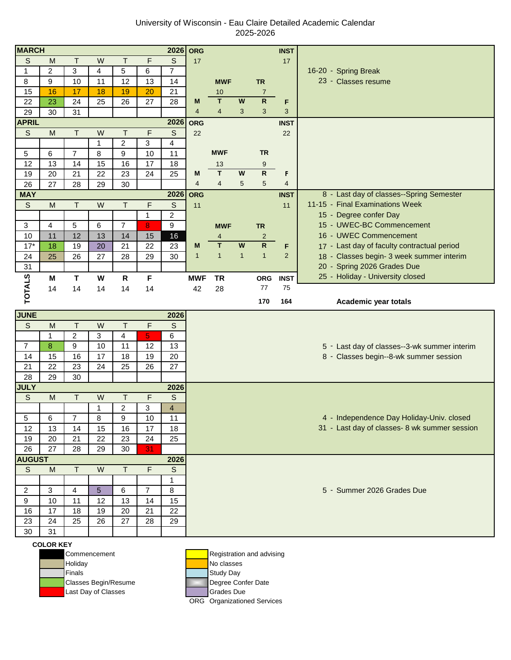## University of Wisconsin - Eau Claire Detailed Academic Calendar 2025-2026

| <b>MARCH</b>   |                   |                     |                |                |                      | 2026                    | <b>ORG</b>     |                |                           |                | <b>INST</b>    |                                               |
|----------------|-------------------|---------------------|----------------|----------------|----------------------|-------------------------|----------------|----------------|---------------------------|----------------|----------------|-----------------------------------------------|
| $\mathsf{S}$   | M                 | $\top$              | W              | T              | F                    | $\mathsf S$             | 17             |                |                           |                | 17             |                                               |
| 1              | $\overline{c}$    | 3                   | $\overline{4}$ | 5              | 6                    | 7                       |                |                |                           |                |                | 16-20 - Spring Break                          |
| 8              | 9                 | 10                  | 11             | 12             | 13                   | 14                      |                | <b>MWF</b>     |                           | <b>TR</b>      |                | 23 - Classes resume                           |
| 15             | 16                | 17                  | 18             | 19             | 20                   | 21                      |                | 10             |                           | $\overline{7}$ |                |                                               |
| 22             | 23                | 24                  | 25             | 26             | 27                   | 28                      | M              | T              | $\boldsymbol{\mathsf{W}}$ | $\overline{R}$ | F              |                                               |
| 29             | 30                | 31                  |                |                |                      |                         | $\overline{4}$ | $\overline{4}$ | 3                         | 3              | 3              |                                               |
| <b>APRIL</b>   |                   |                     |                |                |                      | 2026                    | <b>ORG</b>     |                |                           |                | <b>INST</b>    |                                               |
| $\mathsf S$    | M                 | T.                  | W              | T              | F                    | $\mathsf S$             | 22             |                |                           |                | 22             |                                               |
|                |                   |                     | $\mathbf 1$    | $\overline{2}$ | 3                    | 4                       |                |                |                           |                |                |                                               |
| 5              | 6                 | $\overline{7}$      | 8              | 9              | 10                   | 11                      |                | <b>MWF</b>     |                           | <b>TR</b>      |                |                                               |
| 12             | 13                | 14                  | 15             | 16             | 17                   | 18                      |                | 13             |                           | $9\,$          |                |                                               |
| 19             | 20                | 21                  | 22             | 23             | 24                   | 25                      | M              | T              | W                         | $\mathsf{R}$   | F              |                                               |
| 26             | 27                | 28                  | 29             | 30             |                      |                         | $\overline{4}$ | $\overline{4}$ | 5                         | 5              | $\overline{4}$ |                                               |
| <b>MAY</b>     |                   |                     |                |                |                      | 2026                    | ORG            |                |                           |                | <b>INST</b>    | 8 - Last day of classes--Spring Semester      |
| S              | M                 | T                   | W              | T              | F                    | $\mathsf{S}$            | 11             |                |                           |                | 11             | 11-15 - Final Examinations Week               |
|                |                   |                     |                |                | $\mathbf{1}$         | 2                       |                |                |                           |                |                | 15 - Degree confer Day                        |
| 3              | $\overline{4}$    | 5                   | 6              | $\overline{7}$ | 8                    | 9                       |                | <b>MWF</b>     |                           | <b>TR</b>      |                | 15 - UWEC-BC Commencement                     |
| 10             | 11                | 12                  | 13             | 14             | 15                   | 16                      |                | 4              |                           | $\overline{2}$ |                | 16 - UWEC Commencement                        |
| $17*$          | 18                | 19                  | 20             | 21             | 22                   | 23                      | M              | T              | $\boldsymbol{\mathsf{W}}$ | $\overline{R}$ | F              | 17 - Last day of faculty contractual period   |
| 24             | 25                | 26                  | 27             | 28             | 29                   | 30                      | $\mathbf{1}$   | $\mathbf{1}$   | $\mathbf{1}$              | $\mathbf{1}$   | 2              | 18 - Classes begin- 3 week summer interim     |
| 31             |                   |                     |                |                |                      |                         |                |                |                           |                |                | 20 - Spring 2026 Grades Due                   |
|                | M                 | $\mathbf{T}$        | W              | $\mathsf{R}$   | $\mathsf F$          |                         | <b>MWF</b>     | <b>TR</b>      |                           | <b>ORG</b>     | <b>INST</b>    | 25 - Holiday - University closed              |
|                | 14                |                     |                |                |                      |                         |                |                |                           |                |                |                                               |
|                |                   | 14                  | 14             | 14             | 14                   |                         | 42             | 28             |                           | 77             | 75             |                                               |
| <b>TOTALS</b>  |                   |                     |                |                |                      |                         |                |                |                           | 170            | 164            | Academic year totals                          |
|                |                   |                     |                |                |                      |                         |                |                |                           |                |                |                                               |
| <b>JUNE</b>    |                   |                     |                | T              |                      | 2026                    |                |                |                           |                |                |                                               |
| S              | M<br>$\mathbf{1}$ | $\mathsf T$         | W              |                | F                    | $\overline{S}$          |                |                |                           |                |                |                                               |
| $\overline{7}$ | 8                 | $\overline{c}$<br>9 | 3<br>10        | 4<br>11        | $\overline{5}$<br>12 | 6                       |                |                |                           |                |                |                                               |
| 14             | 15                | 16                  | 17             | 18             | 19                   | 13                      |                |                |                           |                |                | 5 - Last day of classes--3-wk summer interim  |
| 21             | 22                | 23                  | 24             | 25             | 26                   | 20<br>27                |                |                |                           |                |                | 8 - Classes begin--8-wk summer session        |
| 28             | 29                | 30                  |                |                |                      |                         |                |                |                           |                |                |                                               |
| <b>JULY</b>    |                   |                     |                |                |                      | 2026                    |                |                |                           |                |                |                                               |
| $\mathbb S$    | M                 | Τ                   | W              | T              | F                    | $\mathsf S$             |                |                |                           |                |                |                                               |
|                |                   |                     | $\mathbf 1$    | $\overline{2}$ | 3                    | $\overline{\mathbf{4}}$ |                |                |                           |                |                |                                               |
| 5              | 6                 | $\overline{7}$      | 8              | 9              | 10                   | 11                      |                |                |                           |                |                | 4 - Independence Day Holiday-Univ. closed     |
| 12             | 13                | 14                  | 15             | 16             | 17                   | 18                      |                |                |                           |                |                | 31 - Last day of classes- 8 wk summer session |
| 19             | 20                | 21                  | 22             | 23             | 24                   | 25                      |                |                |                           |                |                |                                               |
| 26             | 27                | 28                  | 29             | 30             | 31                   |                         |                |                |                           |                |                |                                               |
| <b>AUGUST</b>  |                   |                     |                |                |                      | 2026                    |                |                |                           |                |                |                                               |
| $\mathsf S$    | M                 | $\top$              | W              | $\top$         | $\mathsf F$          | $\mathsf S$             |                |                |                           |                |                |                                               |
|                |                   |                     |                |                |                      | $\mathbf{1}$            |                |                |                           |                |                |                                               |
| 2              | $\mathbf{3}$      | 4                   | 5              | 6              | $\overline{7}$       | 8                       |                |                |                           |                |                | 5 - Summer 2026 Grades Due                    |
| 9              | 10                | 11                  | 12             | 13             | 14                   | 15                      |                |                |                           |                |                |                                               |
| 16             | 17                | 18                  | 19             | 20             | 21                   | 22                      |                |                |                           |                |                |                                               |
| 23             | 24                | 25                  | 26             | 27             | 28                   | 29                      |                |                |                           |                |                |                                               |
|                |                   |                     |                |                |                      |                         |                |                |                           |                |                |                                               |
|                |                   |                     |                |                |                      |                         |                |                |                           |                |                |                                               |
| 30             | 31                |                     |                |                |                      |                         |                |                |                           |                |                |                                               |

## **COLOR KEY**

Finals